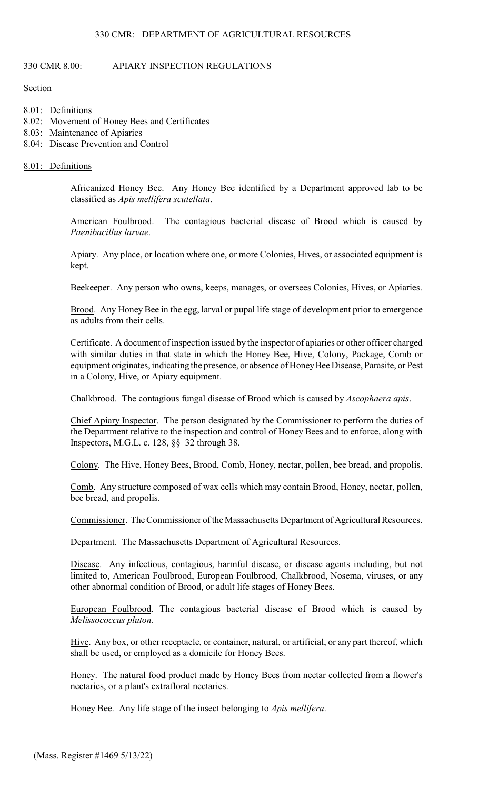# 330 CMR 8.00: APIARY INSPECTION REGULATIONS

Section

- 8.01: Definitions
- 8.02: Movement of Honey Bees and Certificates
- 8.03: Maintenance of Apiaries
- 8.04: Disease Prevention and Control

## 8.01: Definitions

Africanized Honey Bee. Any Honey Bee identified by a Department approved lab to be classified as *Apis mellifera scutellata*.

American Foulbrood. The contagious bacterial disease of Brood which is caused by *Paenibacillus larvae*.

Apiary. Any place, or location where one, or more Colonies, Hives, or associated equipment is kept.

Beekeeper. Any person who owns, keeps, manages, or oversees Colonies, Hives, or Apiaries.

Brood. Any Honey Bee in the egg, larval or pupal life stage of development prior to emergence as adults from their cells.

Certificate. A document of inspection issued by the inspector of apiaries or other officer charged with similar duties in that state in which the Honey Bee, Hive, Colony, Package, Comb or equipment originates, indicating the presence, or absence of Honey Bee Disease, Parasite, or Pest in a Colony, Hive, or Apiary equipment.

Chalkbrood. The contagious fungal disease of Brood which is caused by *Ascophaera apis*.

Chief Apiary Inspector. The person designated by the Commissioner to perform the duties of the Department relative to the inspection and control of Honey Bees and to enforce, along with Inspectors, M.G.L. c. 128, §§ 32 through 38.

Colony. The Hive, Honey Bees, Brood, Comb, Honey, nectar, pollen, bee bread, and propolis.

Comb. Any structure composed of wax cells which may contain Brood, Honey, nectar, pollen, bee bread, and propolis.

Commissioner. The Commissioner of the Massachusetts Department of Agricultural Resources.

Department. The Massachusetts Department of Agricultural Resources.

Disease. Any infectious, contagious, harmful disease, or disease agents including, but not limited to, American Foulbrood, European Foulbrood, Chalkbrood, Nosema, viruses, or any other abnormal condition of Brood, or adult life stages of Honey Bees.

European Foulbrood. The contagious bacterial disease of Brood which is caused by *Melissococcus pluton*.

Hive. Any box, or other receptacle, or container, natural, or artificial, or any part thereof, which shall be used, or employed as a domicile for Honey Bees.

Honey. The natural food product made by Honey Bees from nectar collected from a flower's nectaries, or a plant's extrafloral nectaries.

Honey Bee. Any life stage of the insect belonging to *Apis mellifera*.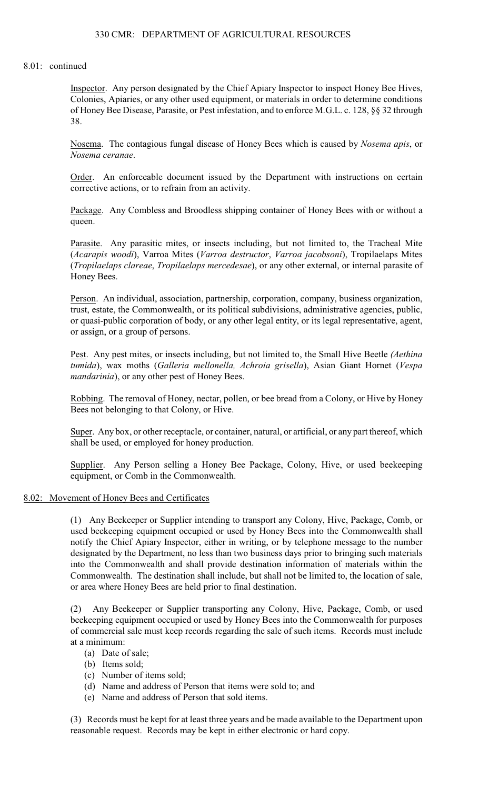# 330 CMR: DEPARTMENT OF AGRICULTURAL RESOURCES

#### 8.01: continued

Inspector. Any person designated by the Chief Apiary Inspector to inspect Honey Bee Hives, Colonies, Apiaries, or any other used equipment, or materials in order to determine conditions of Honey Bee Disease, Parasite, or Pest infestation, and to enforce M.G.L. c. 128, §§ 32 through 38.

Nosema. The contagious fungal disease of Honey Bees which is caused by *Nosema apis*, or *Nosema ceranae*.

Order. An enforceable document issued by the Department with instructions on certain corrective actions, or to refrain from an activity.

Package. Any Combless and Broodless shipping container of Honey Bees with or without a queen.

Parasite. Any parasitic mites, or insects including, but not limited to, the Tracheal Mite (*Acarapis woodi*), Varroa Mites (*Varroa destructor*, *Varroa jacobsoni*), Tropilaelaps Mites (*Tropilaelaps clareae*, *Tropilaelaps mercedesae*), or any other external, or internal parasite of Honey Bees.

Person. An individual, association, partnership, corporation, company, business organization, trust, estate, the Commonwealth, or its political subdivisions, administrative agencies, public, or quasi-public corporation of body, or any other legal entity, or its legal representative, agent, or assign, or a group of persons.

Pest. Any pest mites, or insects including, but not limited to, the Small Hive Beetle *(Aethina tumida*), wax moths (*Galleria mellonella, Achroia grisella*), Asian Giant Hornet (*Vespa mandarinia*), or any other pest of Honey Bees.

Robbing. The removal of Honey, nectar, pollen, or bee bread from a Colony, or Hive by Honey Bees not belonging to that Colony, or Hive.

Super. Any box, or other receptacle, or container, natural, or artificial, or any part thereof, which shall be used, or employed for honey production.

Supplier. Any Person selling a Honey Bee Package, Colony, Hive, or used beekeeping equipment, or Comb in the Commonwealth.

#### 8.02: Movement of Honey Bees and Certificates

(1) Any Beekeeper or Supplier intending to transport any Colony, Hive, Package, Comb, or used beekeeping equipment occupied or used by Honey Bees into the Commonwealth shall notify the Chief Apiary Inspector, either in writing, or by telephone message to the number designated by the Department, no less than two business days prior to bringing such materials into the Commonwealth and shall provide destination information of materials within the Commonwealth. The destination shall include, but shall not be limited to, the location of sale, or area where Honey Bees are held prior to final destination.

(2) Any Beekeeper or Supplier transporting any Colony, Hive, Package, Comb, or used beekeeping equipment occupied or used by Honey Bees into the Commonwealth for purposes of commercial sale must keep records regarding the sale of such items. Records must include at a minimum:

- (a) Date of sale;
- (b) Items sold;
- (c) Number of items sold;
- (d) Name and address of Person that items were sold to; and
- (e) Name and address of Person that sold items.

(3) Records must be kept for at least three years and be made available to the Department upon reasonable request. Records may be kept in either electronic or hard copy.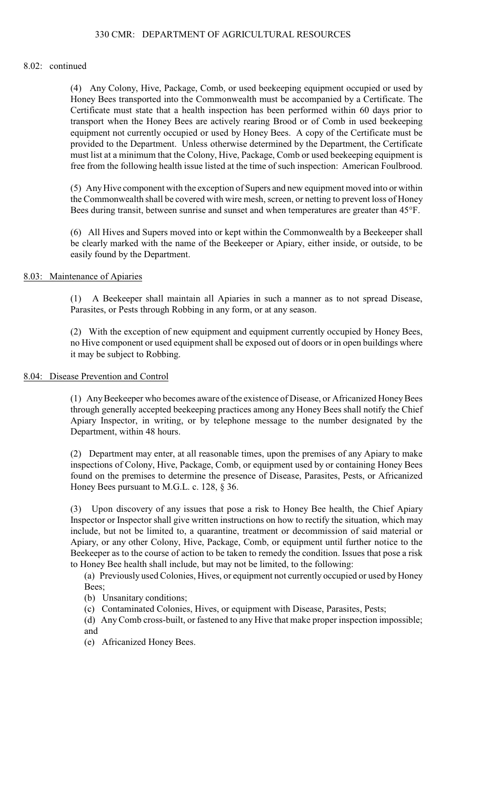#### 8.02: continued

(4) Any Colony, Hive, Package, Comb, or used beekeeping equipment occupied or used by Honey Bees transported into the Commonwealth must be accompanied by a Certificate. The Certificate must state that a health inspection has been performed within 60 days prior to transport when the Honey Bees are actively rearing Brood or of Comb in used beekeeping equipment not currently occupied or used by Honey Bees. A copy of the Certificate must be provided to the Department. Unless otherwise determined by the Department, the Certificate must list at a minimum that the Colony, Hive, Package, Comb or used beekeeping equipment is free from the following health issue listed at the time of such inspection: American Foulbrood.

(5) AnyHive component with the exception of Supers and new equipment moved into or within the Commonwealth shall be covered with wire mesh, screen, or netting to prevent loss of Honey Bees during transit, between sunrise and sunset and when temperatures are greater than 45°F.

(6) All Hives and Supers moved into or kept within the Commonwealth by a Beekeeper shall be clearly marked with the name of the Beekeeper or Apiary, either inside, or outside, to be easily found by the Department.

## 8.03: Maintenance of Apiaries

(1) A Beekeeper shall maintain all Apiaries in such a manner as to not spread Disease, Parasites, or Pests through Robbing in any form, or at any season.

(2) With the exception of new equipment and equipment currently occupied by Honey Bees, no Hive component or used equipment shall be exposed out of doors or in open buildings where it may be subject to Robbing.

## 8.04: Disease Prevention and Control

(1) Any Beekeeper who becomes aware ofthe existence of Disease, or Africanized Honey Bees through generally accepted beekeeping practices among any Honey Bees shall notify the Chief Apiary Inspector, in writing, or by telephone message to the number designated by the Department, within 48 hours.

(2) Department may enter, at all reasonable times, upon the premises of any Apiary to make inspections of Colony, Hive, Package, Comb, or equipment used by or containing Honey Bees found on the premises to determine the presence of Disease, Parasites, Pests, or Africanized Honey Bees pursuant to M.G.L. c. 128, § 36.

(3) Upon discovery of any issues that pose a risk to Honey Bee health, the Chief Apiary Inspector or Inspector shall give written instructions on how to rectify the situation, which may include, but not be limited to, a quarantine, treatment or decommission of said material or Apiary, or any other Colony, Hive, Package, Comb, or equipment until further notice to the Beekeeper as to the course of action to be taken to remedy the condition. Issues that pose a risk to Honey Bee health shall include, but may not be limited, to the following:

(a) Previously used Colonies, Hives, or equipment not currently occupied or used by Honey Bees;

- (b) Unsanitary conditions;
- (c) Contaminated Colonies, Hives, or equipment with Disease, Parasites, Pests;
- (d) Any Comb cross-built, or fastened to any Hive that make proper inspection impossible; and
- (e) Africanized Honey Bees.